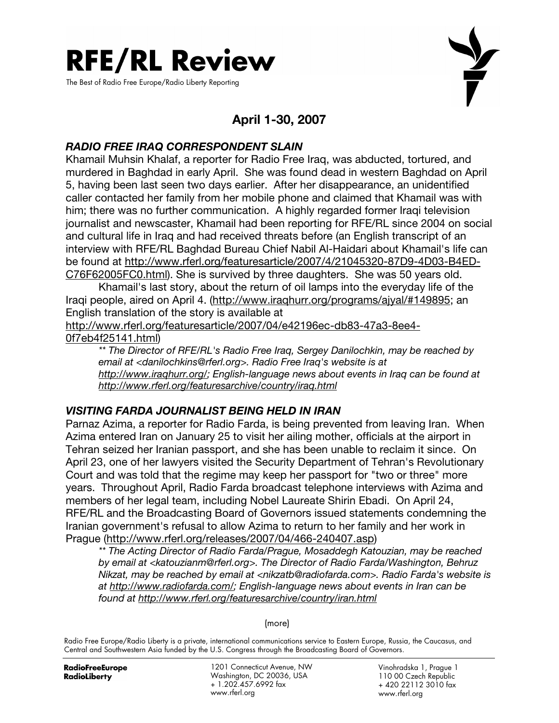

The Best of Radio Free Europe/Radio Liberty Reporting



# April 1-30, 2007

## RADIO FREE IRAQ CORRESPONDENT SLAIN

Khamail Muhsin Khalaf, a reporter for Radio Free Iraq, was abducted, tortured, and murdered in Baghdad in early April. She was found dead in western Baghdad on April 5, having been last seen two days earlier. After her disappearance, an unidentified caller contacted her family from her mobile phone and claimed that Khamail was with him; there was no further communication. A highly regarded former Iraqi television journalist and newscaster, Khamail had been reporting for RFE/RL since 2004 on social and cultural life in Iraq and had received threats before (an English transcript of an interview with RFE/RL Baghdad Bureau Chief Nabil Al-Haidari about Khamail's life can be found at http://www.rferl.org/featuresarticle/2007/4/21045320-87D9-4D03-B4ED-C76F62005FC0.html). She is survived by three daughters. She was 50 years old.

 Khamail's last story, about the return of oil lamps into the everyday life of the Iraqi people, aired on April 4. (http://www.iraqhurr.org/programs/ajyal/#149895; an English translation of the story is available at

http://www.rferl.org/featuresarticle/2007/04/e42196ec-db83-47a3-8ee4- 0f7eb4f25141.html)

\*\* The Director of RFE/RL's Radio Free Iraq, Sergey Danilochkin, may be reached by email at <danilochkins@rferl.org>. Radio Free Iraq's website is at http://www.iraqhurr.org/; English-language news about events in Iraq can be found at http://www.rferl.org/featuresarchive/country/iraq.html

## VISITING FARDA JOURNALIST BEING HELD IN IRAN

Parnaz Azima, a reporter for Radio Farda, is being prevented from leaving Iran. When Azima entered Iran on January 25 to visit her ailing mother, officials at the airport in Tehran seized her Iranian passport, and she has been unable to reclaim it since. On April 23, one of her lawyers visited the Security Department of Tehran's Revolutionary Court and was told that the regime may keep her passport for "two or three" more years. Throughout April, Radio Farda broadcast telephone interviews with Azima and members of her legal team, including Nobel Laureate Shirin Ebadi. On April 24, RFE/RL and the Broadcasting Board of Governors issued statements condemning the Iranian government's refusal to allow Azima to return to her family and her work in Prague (http://www.rferl.org/releases/2007/04/466-240407.asp)

\*\* The Acting Director of Radio Farda/Prague, Mosaddegh Katouzian, may be reached by email at <katouzianm@rferl.org>. The Director of Radio Farda/Washington, Behruz Nikzat, may be reached by email at <nikzatb@radiofarda.com>. Radio Farda's website is at http://www.radiofarda.com/; English-language news about events in Iran can be found at http://www.rferl.org/featuresarchive/country/iran.html

(more)

Radio Free Europe/Radio Liberty is a private, international communications service to Eastern Europe, Russia, the Caucasus, and Central and Southwestern Asia funded by the U.S. Congress through the Broadcasting Board of Governors.

**RadioFreeEurope** RadioLiberty

1201 Connecticut Avenue, NW Washington, DC 20036, USA + 1.202.457.6992 fax www.rferl.org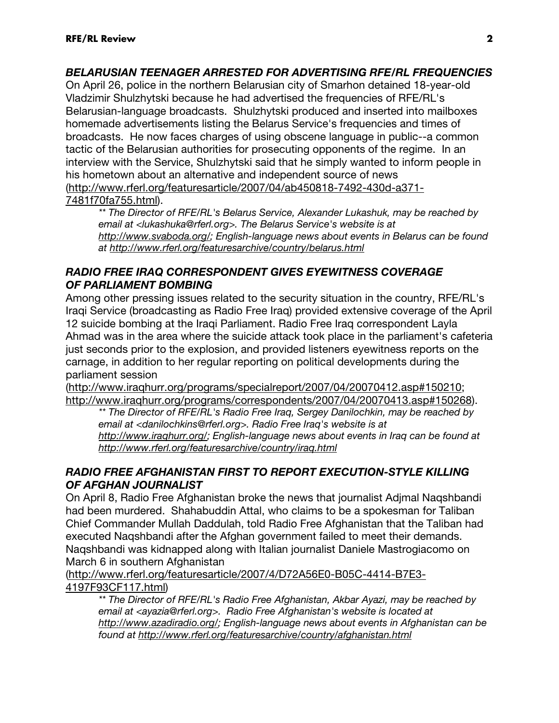## BELARUSIAN TEENAGER ARRESTED FOR ADVERTISING RFE/RL FREQUENCIES

On April 26, police in the northern Belarusian city of Smarhon detained 18-year-old Vladzimir Shulzhytski because he had advertised the frequencies of RFE/RL's Belarusian-language broadcasts. Shulzhytski produced and inserted into mailboxes homemade advertisements listing the Belarus Service's frequencies and times of broadcasts. He now faces charges of using obscene language in public--a common tactic of the Belarusian authorities for prosecuting opponents of the regime. In an interview with the Service, Shulzhytski said that he simply wanted to inform people in his hometown about an alternative and independent source of news (http://www.rferl.org/featuresarticle/2007/04/ab450818-7492-430d-a371- 7481f70fa755.html).

\*\* The Director of RFE/RL's Belarus Service, Alexander Lukashuk, may be reached by email at <lukashuka@rferl.org>. The Belarus Service's website is at http://www.svaboda.org/; English-language news about events in Belarus can be found at http://www.rferl.org/featuresarchive/country/belarus.html

### RADIO FREE IRAQ CORRESPONDENT GIVES EYEWITNESS COVERAGE OF PARLIAMENT BOMBING

Among other pressing issues related to the security situation in the country, RFE/RL's Iraqi Service (broadcasting as Radio Free Iraq) provided extensive coverage of the April 12 suicide bombing at the Iraqi Parliament. Radio Free Iraq correspondent Layla Ahmad was in the area where the suicide attack took place in the parliament's cafeteria just seconds prior to the explosion, and provided listeners eyewitness reports on the carnage, in addition to her regular reporting on political developments during the parliament session

(http://www.iraqhurr.org/programs/specialreport/2007/04/20070412.asp#150210; http://www.iraqhurr.org/programs/correspondents/2007/04/20070413.asp#150268).

\*\* The Director of RFE/RL's Radio Free Iraq, Sergey Danilochkin, may be reached by email at <danilochkins@rferl.org>. Radio Free Iraq's website is at http://www.iraqhurr.org/; English-language news about events in Iraq can be found at http://www.rferl.org/featuresarchive/country/iraq.html

## RADIO FREE AFGHANISTAN FIRST TO REPORT EXECUTION-STYLE KILLING OF AFGHAN JOURNALIST

On April 8, Radio Free Afghanistan broke the news that journalist Adjmal Naqshbandi had been murdered. Shahabuddin Attal, who claims to be a spokesman for Taliban Chief Commander Mullah Daddulah, told Radio Free Afghanistan that the Taliban had executed Naqshbandi after the Afghan government failed to meet their demands. Naqshbandi was kidnapped along with Italian journalist Daniele Mastrogiacomo on March 6 in southern Afghanistan

(http://www.rferl.org/featuresarticle/2007/4/D72A56E0-B05C-4414-B7E3- 4197F93CF117.html)

\*\* The Director of RFE/RL's Radio Free Afghanistan, Akbar Ayazi, may be reached by email at <ayazia@rferl.org>. Radio Free Afghanistan's website is located at http://www.azadiradio.org/; English-language news about events in Afghanistan can be found at http://www.rferl.org/featuresarchive/country/afghanistan.html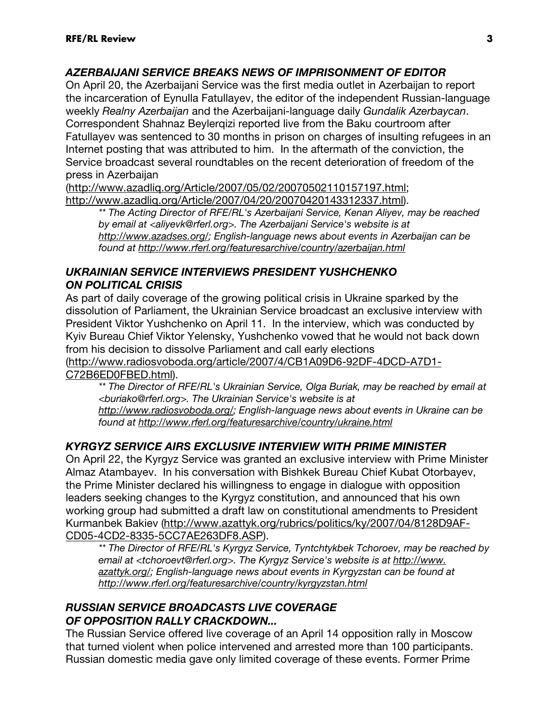## AZERBAIJANI SERVICE BREAKS NEWS OF IMPRISONMENT OF EDITOR

On April 20, the Azerbaijani Service was the first media outlet in Azerbaijan to report the incarceration of Eynulla Fatullayev, the editor of the independent Russian-language weekly Realny Azerbaijan and the Azerbaijani-language daily Gundalik Azerbaycan. Correspondent Shahnaz Beylerqizi reported live from the Baku courtroom after Fatullayev was sentenced to 30 months in prison on charges of insulting refugees in an Internet posting that was attributed to him. In the aftermath of the conviction, the Service broadcast several roundtables on the recent deterioration of freedom of the press in Azerbaijan

(http://www.azadliq.org/Article/2007/05/02/20070502110157197.html; http://www.azadliq.org/Article/2007/04/20/20070420143312337.html).

\*\* The Acting Director of RFE/RL's Azerbaijani Service, Kenan Aliyev, may be reached by email at <aliyevk@rferl.org>. The Azerbaijani Service's website is at http://www.azadses.org/; English-language news about events in Azerbaijan can be found at http://www.rferl.org/featuresarchive/country/azerbaijan.html

### UKRAINIAN SERVICE INTERVIEWS PRESIDENT YUSHCHENKO ON POLITICAL CRISIS

As part of daily coverage of the growing political crisis in Ukraine sparked by the dissolution of Parliament, the Ukrainian Service broadcast an exclusive interview with President Viktor Yushchenko on April 11. In the interview, which was conducted by Kyiv Bureau Chief Viktor Yelensky, Yushchenko vowed that he would not back down from his decision to dissolve Parliament and call early elections (http://www.radiosvoboda.org/article/2007/4/CB1A09D6-92DF-4DCD-A7D1- C72B6ED0FBED.html).

\*\* The Director of RFE/RL's Ukrainian Service, Olga Buriak, may be reached by email at <buriako@rferl.org>. The Ukrainian Service's website is at http://www.radiosvoboda.org/; English-language news about events in Ukraine can be found at http://www.rferl.org/featuresarchive/country/ukraine.html

## KYRGYZ SERVICE AIRS EXCLUSIVE INTERVIEW WITH PRIME MINISTER

On April 22, the Kyrgyz Service was granted an exclusive interview with Prime Minister Almaz Atambayev. In his conversation with Bishkek Bureau Chief Kubat Otorbayev, the Prime Minister declared his willingness to engage in dialogue with opposition leaders seeking changes to the Kyrgyz constitution, and announced that his own working group had submitted a draft law on constitutional amendments to President Kurmanbek Bakiev (http://www.azattyk.org/rubrics/politics/ky/2007/04/8128D9AF-CD05-4CD2-8335-5CC7AE263DF8.ASP).

\*\* The Director of RFE/RL's Kyrgyz Service, Tyntchtykbek Tchoroev, may be reached by email at <tchoroevt@rferl.org>. The Kyrgyz Service's website is at http://www. azattyk.org/; English-language news about events in Kyrgyzstan can be found at http://www.rferl.org/featuresarchive/country/kyrgyzstan.html

## RUSSIAN SERVICE BROADCASTS LIVE COVERAGE OF OPPOSITION RALLY CRACKDOWN...

The Russian Service offered live coverage of an April 14 opposition rally in Moscow that turned violent when police intervened and arrested more than 100 participants. Russian domestic media gave only limited coverage of these events. Former Prime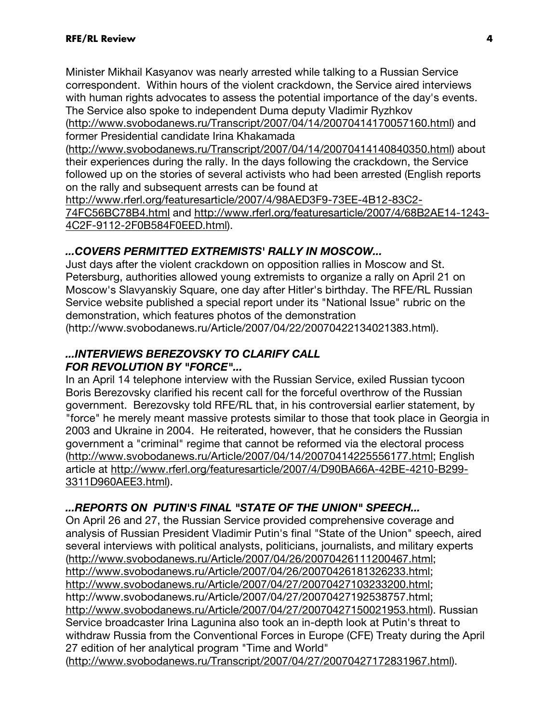Minister Mikhail Kasyanov was nearly arrested while talking to a Russian Service correspondent. Within hours of the violent crackdown, the Service aired interviews with human rights advocates to assess the potential importance of the day's events. The Service also spoke to independent Duma deputy Vladimir Ryzhkov

(http://www.svobodanews.ru/Transcript/2007/04/14/20070414170057160.html) and former Presidential candidate Irina Khakamada

(http://www.svobodanews.ru/Transcript/2007/04/14/20070414140840350.html) about their experiences during the rally. In the days following the crackdown, the Service followed up on the stories of several activists who had been arrested (English reports on the rally and subsequent arrests can be found at

http://www.rferl.org/featuresarticle/2007/4/98AED3F9-73EE-4B12-83C2- 74FC56BC78B4.html and http://www.rferl.org/featuresarticle/2007/4/68B2AE14-1243- 4C2F-9112-2F0B584F0EED.html).

## ...COVERS PERMITTED EXTREMISTS' RALLY IN MOSCOW...

Just days after the violent crackdown on opposition rallies in Moscow and St. Petersburg, authorities allowed young extremists to organize a rally on April 21 on Moscow's Slavyanskiy Square, one day after Hitler's birthday. The RFE/RL Russian Service website published a special report under its "National Issue" rubric on the demonstration, which features photos of the demonstration

(http://www.svobodanews.ru/Article/2007/04/22/20070422134021383.html).

#### ...INTERVIEWS BEREZOVSKY TO CLARIFY CALL FOR REVOLUTION BY "FORCE"...

In an April 14 telephone interview with the Russian Service, exiled Russian tycoon Boris Berezovsky clarified his recent call for the forceful overthrow of the Russian government. Berezovsky told RFE/RL that, in his controversial earlier statement, by "force" he merely meant massive protests similar to those that took place in Georgia in 2003 and Ukraine in 2004. He reiterated, however, that he considers the Russian government a "criminal" regime that cannot be reformed via the electoral process (http://www.svobodanews.ru/Article/2007/04/14/20070414225556177.html; English article at http://www.rferl.org/featuresarticle/2007/4/D90BA66A-42BE-4210-B299- 3311D960AEE3.html).

## ...REPORTS ON PUTIN'S FINAL "STATE OF THE UNION" SPEECH...

On April 26 and 27, the Russian Service provided comprehensive coverage and analysis of Russian President Vladimir Putin's final "State of the Union" speech, aired several interviews with political analysts, politicians, journalists, and military experts (http://www.svobodanews.ru/Article/2007/04/26/20070426111200467.html; http://www.svobodanews.ru/Article/2007/04/26/20070426181326233.html; http://www.svobodanews.ru/Article/2007/04/27/20070427103233200.html; http://www.svobodanews.ru/Article/2007/04/27/20070427192538757.html; http://www.svobodanews.ru/Article/2007/04/27/20070427150021953.html). Russian Service broadcaster Irina Lagunina also took an in-depth look at Putin's threat to withdraw Russia from the Conventional Forces in Europe (CFE) Treaty during the April 27 edition of her analytical program "Time and World" (http://www.svobodanews.ru/Transcript/2007/04/27/20070427172831967.html).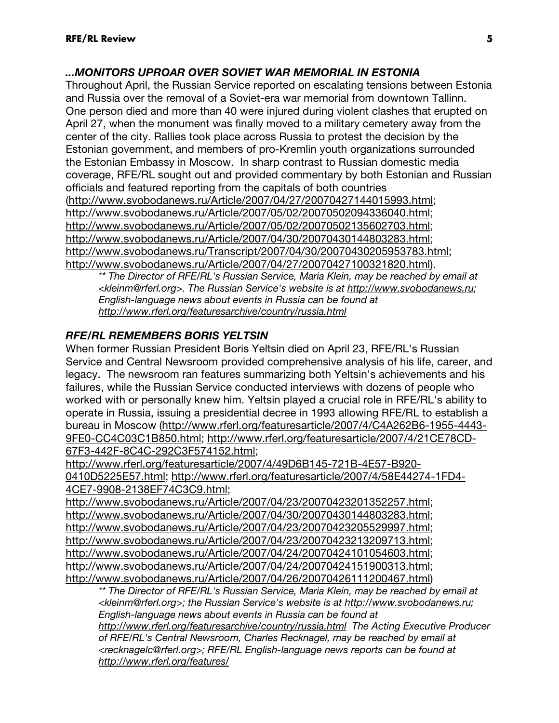### ...MONITORS UPROAR OVER SOVIET WAR MEMORIAL IN ESTONIA

Throughout April, the Russian Service reported on escalating tensions between Estonia and Russia over the removal of a Soviet-era war memorial from downtown Tallinn. One person died and more than 40 were injured during violent clashes that erupted on April 27, when the monument was finally moved to a military cemetery away from the center of the city. Rallies took place across Russia to protest the decision by the Estonian government, and members of pro-Kremlin youth organizations surrounded the Estonian Embassy in Moscow. In sharp contrast to Russian domestic media coverage, RFE/RL sought out and provided commentary by both Estonian and Russian officials and featured reporting from the capitals of both countries (http://www.svobodanews.ru/Article/2007/04/27/20070427144015993.html; http://www.svobodanews.ru/Article/2007/05/02/20070502094336040.html; http://www.svobodanews.ru/Article/2007/05/02/20070502135602703.html; http://www.svobodanews.ru/Article/2007/04/30/20070430144803283.html; http://www.svobodanews.ru/Transcript/2007/04/30/20070430205953783.html; http://www.svobodanews.ru/Article/2007/04/27/20070427100321820.html).

\*\* The Director of RFE/RL's Russian Service, Maria Klein, may be reached by email at <kleinm@rferl.org>. The Russian Service's website is at http://www.svobodanews.ru; English-language news about events in Russia can be found at http://www.rferl.org/featuresarchive/country/russia.html

### RFE/RL REMEMBERS BORIS YELTSIN

When former Russian President Boris Yeltsin died on April 23, RFE/RL's Russian Service and Central Newsroom provided comprehensive analysis of his life, career, and legacy. The newsroom ran features summarizing both Yeltsin's achievements and his failures, while the Russian Service conducted interviews with dozens of people who worked with or personally knew him. Yeltsin played a crucial role in RFE/RL's ability to operate in Russia, issuing a presidential decree in 1993 allowing RFE/RL to establish a bureau in Moscow (http://www.rferl.org/featuresarticle/2007/4/C4A262B6-1955-4443- 9FE0-CC4C03C1B850.html; http://www.rferl.org/featuresarticle/2007/4/21CE78CD-67F3-442F-8C4C-292C3F574152.html;

http://www.rferl.org/featuresarticle/2007/4/49D6B145-721B-4E57-B920- 0410D5225E57.html; http://www.rferl.org/featuresarticle/2007/4/58E44274-1FD4- 4CE7-9908-2138EF74C3C9.html;

http://www.svobodanews.ru/Article/2007/04/23/20070423201352257.html; http://www.svobodanews.ru/Article/2007/04/30/20070430144803283.html; http://www.svobodanews.ru/Article/2007/04/23/20070423205529997.html; http://www.svobodanews.ru/Article/2007/04/23/20070423213209713.html; http://www.svobodanews.ru/Article/2007/04/24/20070424101054603.html; http://www.svobodanews.ru/Article/2007/04/24/20070424151900313.html; http://www.svobodanews.ru/Article/2007/04/26/20070426111200467.html)

\*\* The Director of RFE/RL's Russian Service, Maria Klein, may be reached by email at <kleinm@rferl.org>; the Russian Service's website is at http://www.svobodanews.ru; English-language news about events in Russia can be found at http://www.rferl.org/featuresarchive/country/russia.html The Acting Executive Producer of RFE/RL's Central Newsroom, Charles Recknagel, may be reached by email at <recknagelc@rferl.org>; RFE/RL English-language news reports can be found at http://www.rferl.org/features/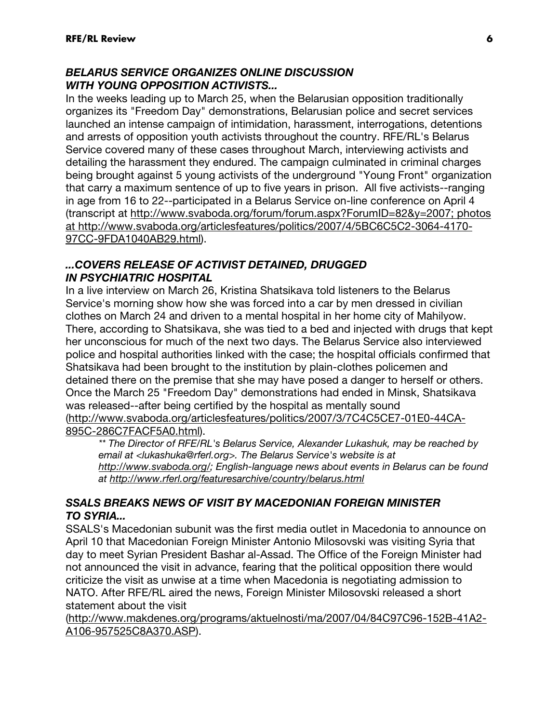## BELARUS SERVICE ORGANIZES ONLINE DISCUSSION WITH YOUNG OPPOSITION ACTIVISTS...

In the weeks leading up to March 25, when the Belarusian opposition traditionally organizes its "Freedom Day" demonstrations, Belarusian police and secret services launched an intense campaign of intimidation, harassment, interrogations, detentions and arrests of opposition youth activists throughout the country. RFE/RL's Belarus Service covered many of these cases throughout March, interviewing activists and detailing the harassment they endured. The campaign culminated in criminal charges being brought against 5 young activists of the underground "Young Front" organization that carry a maximum sentence of up to five years in prison. All five activists--ranging in age from 16 to 22--participated in a Belarus Service on-line conference on April 4 (transcript at http://www.svaboda.org/forum/forum.aspx?ForumID=82&y=2007; photos at http://www.svaboda.org/articlesfeatures/politics/2007/4/5BC6C5C2-3064-4170- 97CC-9FDA1040AB29.html).

### ...COVERS RELEASE OF ACTIVIST DETAINED, DRUGGED IN PSYCHIATRIC HOSPITAL

In a live interview on March 26, Kristina Shatsikava told listeners to the Belarus Service's morning show how she was forced into a car by men dressed in civilian clothes on March 24 and driven to a mental hospital in her home city of Mahilyow. There, according to Shatsikava, she was tied to a bed and injected with drugs that kept her unconscious for much of the next two days. The Belarus Service also interviewed police and hospital authorities linked with the case; the hospital officials confirmed that Shatsikava had been brought to the institution by plain-clothes policemen and detained there on the premise that she may have posed a danger to herself or others. Once the March 25 "Freedom Day" demonstrations had ended in Minsk, Shatsikava was released--after being certified by the hospital as mentally sound (http://www.svaboda.org/articlesfeatures/politics/2007/3/7C4C5CE7-01E0-44CA-895C-286C7FACF5A0.html).

\*\* The Director of RFE/RL's Belarus Service, Alexander Lukashuk, may be reached by email at <lukashuka@rferl.org>. The Belarus Service's website is at http://www.svaboda.org/; English-language news about events in Belarus can be found at http://www.rferl.org/featuresarchive/country/belarus.html

## SSALS BREAKS NEWS OF VISIT BY MACEDONIAN FOREIGN MINISTER TO SYRIA...

SSALS's Macedonian subunit was the first media outlet in Macedonia to announce on April 10 that Macedonian Foreign Minister Antonio Milosovski was visiting Syria that day to meet Syrian President Bashar al-Assad. The Office of the Foreign Minister had not announced the visit in advance, fearing that the political opposition there would criticize the visit as unwise at a time when Macedonia is negotiating admission to NATO. After RFE/RL aired the news, Foreign Minister Milosovski released a short statement about the visit

(http://www.makdenes.org/programs/aktuelnosti/ma/2007/04/84C97C96-152B-41A2- A106-957525C8A370.ASP).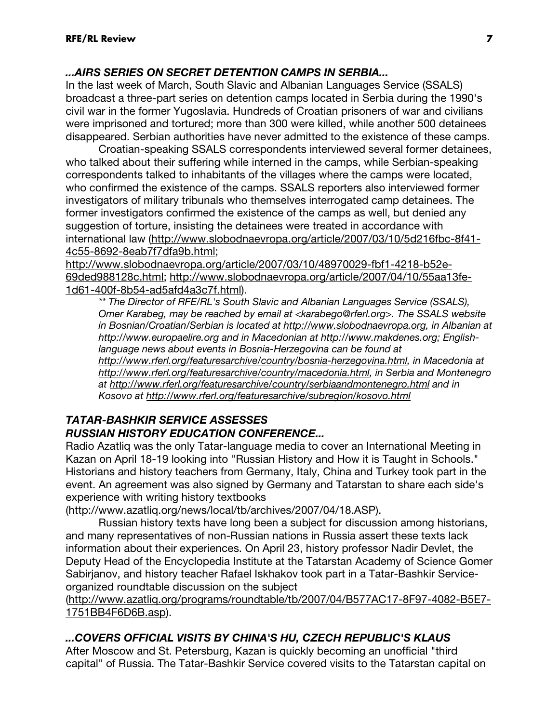## ...AIRS SERIES ON SECRET DETENTION CAMPS IN SERBIA...

In the last week of March, South Slavic and Albanian Languages Service (SSALS) broadcast a three-part series on detention camps located in Serbia during the 1990's civil war in the former Yugoslavia. Hundreds of Croatian prisoners of war and civilians were imprisoned and tortured; more than 300 were killed, while another 500 detainees disappeared. Serbian authorities have never admitted to the existence of these camps.

 Croatian-speaking SSALS correspondents interviewed several former detainees, who talked about their suffering while interned in the camps, while Serbian-speaking correspondents talked to inhabitants of the villages where the camps were located, who confirmed the existence of the camps. SSALS reporters also interviewed former investigators of military tribunals who themselves interrogated camp detainees. The former investigators confirmed the existence of the camps as well, but denied any suggestion of torture, insisting the detainees were treated in accordance with international law (http://www.slobodnaevropa.org/article/2007/03/10/5d216fbc-8f41- 4c55-8692-8eab7f7dfa9b.html;

http://www.slobodnaevropa.org/article/2007/03/10/48970029-fbf1-4218-b52e-69ded988128c.html; http://www.slobodnaevropa.org/article/2007/04/10/55aa13fe-1d61-400f-8b54-ad5afd4a3c7f.html).

\*\* The Director of RFE/RL's South Slavic and Albanian Languages Service (SSALS), Omer Karabeg, may be reached by email at <karabego@rferl.org>. The SSALS website in Bosnian/Croatian/Serbian is located at http://www.slobodnaevropa.org, in Albanian at http://www.europaelire.org and in Macedonian at http://www.makdenes.org; Englishlanguage news about events in Bosnia-Herzegovina can be found at http://www.rferl.org/featuresarchive/country/bosnia-herzegovina.html, in Macedonia at http://www.rferl.org/featuresarchive/country/macedonia.html, in Serbia and Montenegro at http://www.rferl.org/featuresarchive/country/serbiaandmontenegro.html and in Kosovo at http://www.rferl.org/featuresarchive/subregion/kosovo.html

## TATAR-BASHKIR SERVICE ASSESSES RUSSIAN HISTORY EDUCATION CONFERENCE...

Radio Azatliq was the only Tatar-language media to cover an International Meeting in Kazan on April 18-19 looking into "Russian History and How it is Taught in Schools." Historians and history teachers from Germany, Italy, China and Turkey took part in the event. An agreement was also signed by Germany and Tatarstan to share each side's experience with writing history textbooks

(http://www.azatliq.org/news/local/tb/archives/2007/04/18.ASP).

 Russian history texts have long been a subject for discussion among historians, and many representatives of non-Russian nations in Russia assert these texts lack information about their experiences. On April 23, history professor Nadir Devlet, the Deputy Head of the Encyclopedia Institute at the Tatarstan Academy of Science Gomer Sabirjanov, and history teacher Rafael Iskhakov took part in a Tatar-Bashkir Serviceorganized roundtable discussion on the subject

(http://www.azatliq.org/programs/roundtable/tb/2007/04/B577AC17-8F97-4082-B5E7- 1751BB4F6D6B.asp).

## ...COVERS OFFICIAL VISITS BY CHINA'S HU, CZECH REPUBLIC'S KLAUS

After Moscow and St. Petersburg, Kazan is quickly becoming an unofficial "third capital" of Russia. The Tatar-Bashkir Service covered visits to the Tatarstan capital on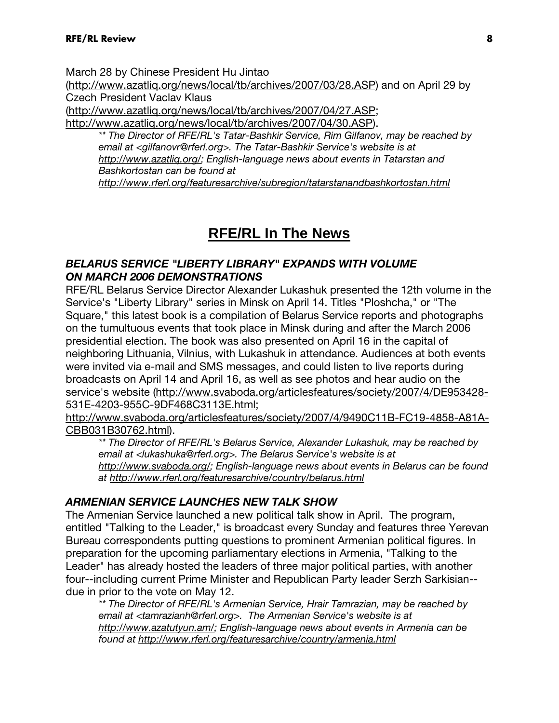March 28 by Chinese President Hu Jintao

(http://www.azatliq.org/news/local/tb/archives/2007/03/28.ASP) and on April 29 by Czech President Vaclav Klaus

(http://www.azatliq.org/news/local/tb/archives/2007/04/27.ASP;

http://www.azatliq.org/news/local/tb/archives/2007/04/30.ASP).

\*\* The Director of RFE/RL's Tatar-Bashkir Service, Rim Gilfanov, may be reached by email at <gilfanovr@rferl.org>. The Tatar-Bashkir Service's website is at http://www.azatlig.org/; English-language news about events in Tatarstan and Bashkortostan can be found at http://www.rferl.org/featuresarchive/subregion/tatarstanandbashkortostan.html

# **RFE/RL In The News**

#### BELARUS SERVICE "LIBERTY LIBRARY" EXPANDS WITH VOLUME ON MARCH 2006 DEMONSTRATIONS

RFE/RL Belarus Service Director Alexander Lukashuk presented the 12th volume in the Service's "Liberty Library" series in Minsk on April 14. Titles "Ploshcha," or "The Square," this latest book is a compilation of Belarus Service reports and photographs on the tumultuous events that took place in Minsk during and after the March 2006 presidential election. The book was also presented on April 16 in the capital of neighboring Lithuania, Vilnius, with Lukashuk in attendance. Audiences at both events were invited via e-mail and SMS messages, and could listen to live reports during broadcasts on April 14 and April 16, as well as see photos and hear audio on the service's website (http://www.svaboda.org/articlesfeatures/society/2007/4/DE953428- 531E-4203-955C-9DF468C3113E.html;

http://www.svaboda.org/articlesfeatures/society/2007/4/9490C11B-FC19-4858-A81A-CBB031B30762.html).

\*\* The Director of RFE/RL's Belarus Service, Alexander Lukashuk, may be reached by email at <lukashuka@rferl.org>. The Belarus Service's website is at http://www.svaboda.org/; English-language news about events in Belarus can be found at http://www.rferl.org/featuresarchive/country/belarus.html

### ARMENIAN SERVICE LAUNCHES NEW TALK SHOW

The Armenian Service launched a new political talk show in April. The program, entitled "Talking to the Leader," is broadcast every Sunday and features three Yerevan Bureau correspondents putting questions to prominent Armenian political figures. In preparation for the upcoming parliamentary elections in Armenia, "Talking to the Leader" has already hosted the leaders of three major political parties, with another four--including current Prime Minister and Republican Party leader Serzh Sarkisian- due in prior to the vote on May 12.

\*\* The Director of RFE/RL's Armenian Service, Hrair Tamrazian, may be reached by email at <tamrazianh@rferl.org>. The Armenian Service's website is at http://www.azatutyun.am/; English-language news about events in Armenia can be found at http://www.rferl.org/featuresarchive/country/armenia.html